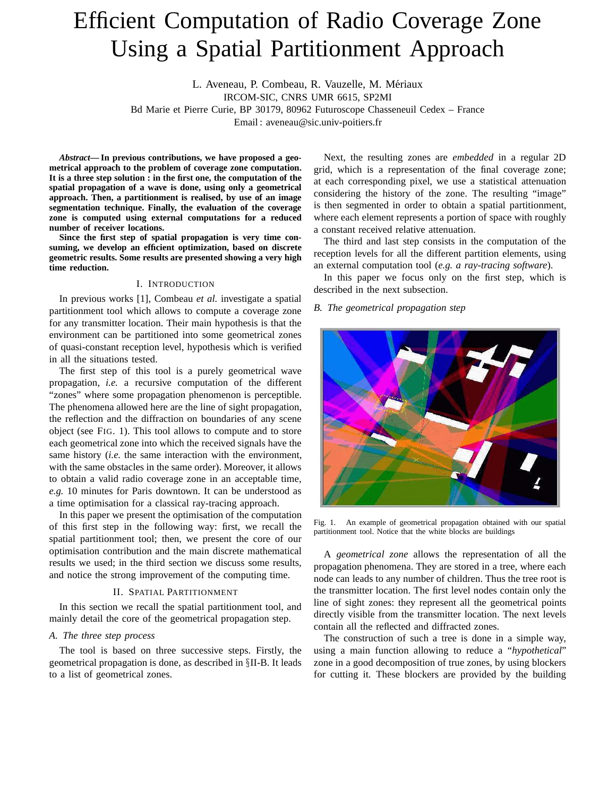# Efficient Computation of Radio Coverage Zone Using a Spatial Partitionment Approach

L. Aveneau, P. Combeau, R. Vauzelle, M. Meriaux ´

IRCOM-SIC, CNRS UMR 6615, SP2MI

Bd Marie et Pierre Curie, BP 30179, 80962 Futuroscope Chasseneuil Cedex – France

Email : aveneau@sic.univ-poitiers.fr

*Abstract***— In previous contributions, we have proposed a geometrical approach to the problem of coverage zone computation. It is a three step solution : in the first one, the computation of the spatial propagation of a wave is done, using only a geometrical approach. Then, a partitionment is realised, by use of an image segmentation technique. Finally, the evaluation of the coverage zone is computed using external computations for a reduced number of receiver locations.**

**Since the first step of spatial propagation is very time consuming, we develop an efficient optimization, based on discrete geometric results. Some results are presented showing a very high time reduction.**

#### I. INTRODUCTION

In previous works [1], Combeau *et al.* investigate a spatial partitionment tool which allows to compute a coverage zone for any transmitter location. Their main hypothesis is that the environment can be partitioned into some geometrical zones of quasi-constant reception level, hypothesis which is verified in all the situations tested.

The first step of this tool is a purely geometrical wave propagation, *i.e.* a recursive computation of the different "zones" where some propagation phenomenon is perceptible. The phenomena allowed here are the line of sight propagation, the reflection and the diffraction on boundaries of any scene object (see FIG. 1). This tool allows to compute and to store each geometrical zone into which the received signals have the same history (*i.e.* the same interaction with the environment, with the same obstacles in the same order). Moreover, it allows to obtain a valid radio coverage zone in an acceptable time, e.g. 10 minutes for Paris downtown. It can be three replacements a time optimisation for a classical ray-tracing approach ransmitter

In this paper we present the optimisation of the computation of this first step in the following way: first, we recall the spatial partitionment tool; then, we present the core of our optimisation contribution and the main discrete mathematical results we used; in the third section we discuss some results, and notice the strong improvement of the computing time.

# II. SPATIAL PARTITIONMENT

In this section we recall the spatial partitionment tool, and mainly detail the core of the geometrical propagation step.

#### *A. The three step process*

The tool is based on three successive steps. Firstly, the geometrical propagation is done, as described in II-B. It leads to a list of geometrical zones.

Next, the resulting zones are *embedded* in a regular 2D grid, which is a representation of the final coverage zone; at each corresponding pixel, we use a statistical attenuation considering the history of the zone. The resulting "image" is then segmented in order to obtain a spatial partitionment, where each element represents a portion of space with roughly a constant received relative attenuation.

The third and last step consists in the computation of the reception levels for all the different partition elements, using an external computation tool (*e.g. a ray-tracing software*).

In this paper we focus only on the first step, which is described in the next subsection.

## *B. The geometrical propagation step*



Fig. 1. An example of geometrical propagation obtained with our spatial partitionment tool. Notice that the white blocks are buildings

A *geometrical zone* allows the representation of all the propagation phenomena. They are stored in a tree, where each node can leads to any number of children. Thus the tree root is the transmitter location. The first level nodes contain only the line of sight zones: they represent all the geometrical points directly visible from the transmitter location. The next levels contain all the reflected and diffracted zones.

The construction of such a tree is done in a simple way, using a main function allowing to reduce a "*hypothetical*" zone in a good decomposition of true zones, by using blockers for cutting it. These blockers are provided by the building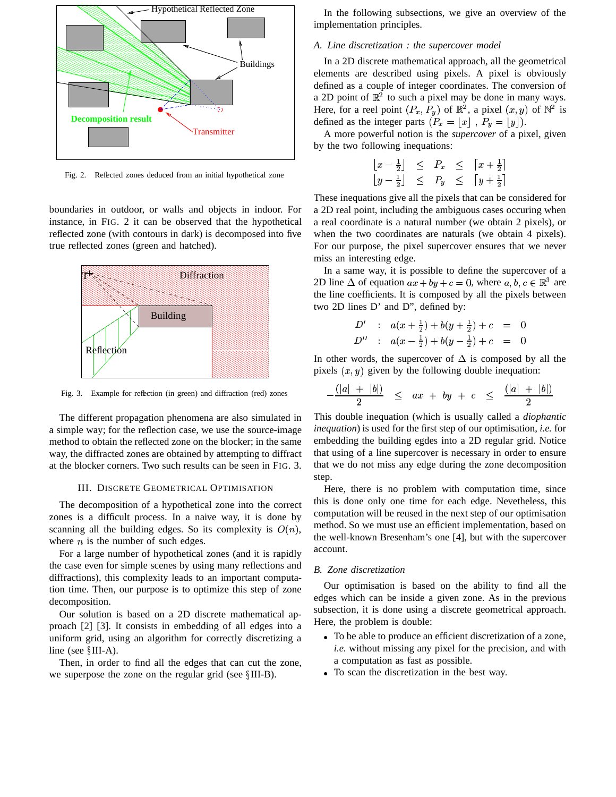

Fig. 2. Reflected zones deduced from an initial hypothetical zone

boundaries in outdoor, or walls and objects in indoor. For instance, in FIG. 2 it can be observed that the hypothetical reflected zone (with contours in dark) is decomposed into five true reflected zones (green and hatched).



Fig. 3. Example for reflection (in green) and diffraction (red) zones

The different propagation phenomena are also simulated in a simple way; for the reflection case, we use the source-image method to obtain the reflected zone on the blocker; in the same way, the diffracted zones are obtained by attempting to diffract at the blocker corners. Two such results can be seen in FIG. 3.

#### III. DISCRETE GEOMETRICAL OPTIMISATION

The decomposition of a hypothetical zone into the correct zones is a difficult process. In a naive way, it is done by scanning all the building edges. So its complexity is  $O(n)$ , where  $n$  is the number of such edges.

For a large number of hypothetical zones (and it is rapidly the case even for simple scenes by using many reflections and diffractions), this complexity leads to an important computation time. Then, our purpose is to optimize this step of zone decomposition.

Our solution is based on a 2D discrete mathematical approach [2] [3]. It consists in embedding of all edges into a uniform grid, using an algorithm for correctly discretizing a line (see  $\S$ III-A).

Then, in order to find all the edges that can cut the zone, we superpose the zone on the regular grid (see §III-B).

In the following subsections, we give an overview of the implementation principles.

#### *A. Line discretization : the supercover model*

In a 2D discrete mathematical approach, all the geometrical elements are described using pixels. A pixel is obviously defined as a couple of integer coordinates. The conversion of a 2D point of  $\mathbb{R}^2$  to such a pixel may be done in many ways. Here, for a reel point  $(P_x, P_y)$  of  $\mathbb{R}^2$ , a pixel  $(x, y)$  of  $\mathbb{N}^2$  is defined as the integer parts  $(P_x = |x|, P_y = |y|)$ .

A more powerful notion is the *supercover* of a pixel, given by the two following inequations:

$$
\begin{array}{rcl}\n\lfloor x - \frac{1}{2} \rfloor & \leq & P_x & \leq & \lceil x + \frac{1}{2} \rceil \\
\lfloor y - \frac{1}{2} \rfloor & \leq & P_y & \leq & \lceil y + \frac{1}{2} \rceil\n\end{array}
$$

 miss an interesting edge. These inequations give all the pixels that can be considered for a 2D real point, including the ambiguous cases occuring when a real coordinate is a natural number (we obtain 2 pixels), or when the two coordinates are naturals (we obtain 4 pixels). For our purpose, the pixel supercover ensures that we never

the line coefficients. It is composed by all the pixels between 2D line  $\Delta$  of equation  $ax + by + c = 0$ , where  $a, b, c \in \mathbb{R}^3$  are In a same way, it is possible to define the supercover of a

$$
D' : a(x + \frac{1}{2}) + b(y + \frac{1}{2}) + c = 0
$$
  

$$
D'' : a(x - \frac{1}{2}) + b(y - \frac{1}{2}) + c = 0
$$

 $\Box$  given by the following double inequation:

$$
-\frac{(|a| + |b|)}{2} \leq ax + by + c \leq \frac{(|a| + |b|)}{2}
$$

This double inequation (which is usually called a *diophantic inequation*) is used for the first step of our optimisation, *i.e.* for embedding the building egdes into a 2D regular grid. Notice that using of a line supercover is necessary in order to ensure that we do not miss any edge during the zone decomposition step.

Here, there is no problem with computation time, since this is done only one time for each edge. Nevetheless, this computation will be reused in the next step of our optimisation method. So we must use an efficient implementation, based on the well-known Bresenham's one [4], but with the supercover account.

## *B. Zone discretization*

Our optimisation is based on the ability to find all the edges which can be inside a given zone. As in the previous subsection, it is done using a discrete geometrical approach. Here, the problem is double:

- g To be able to produce an efficient discretization of a zone, *i.e.* without missing any pixel for the precision, and with a computation as fast as possible.
- g To scan the discretization in the best way.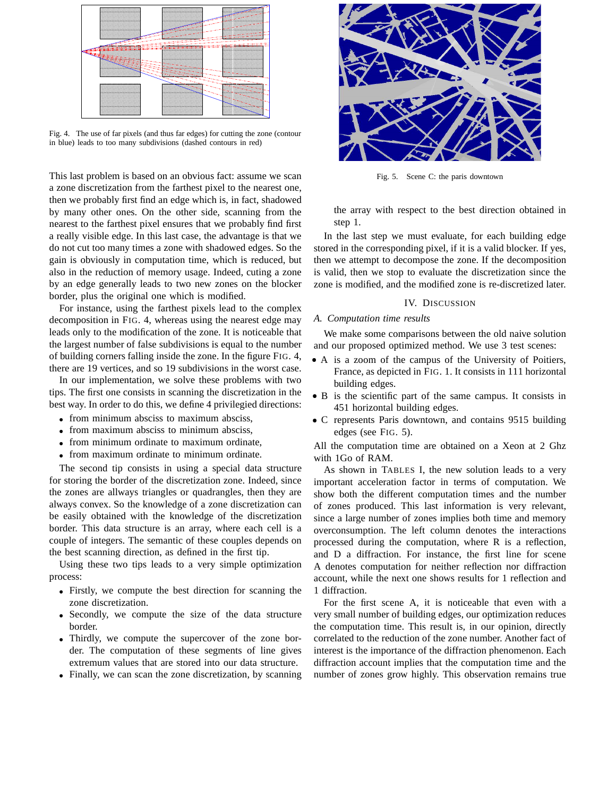

Fig. 4. The use of far pixels (and thus far edges) for cutting the zone (contour in blue) leads to too many subdivisions (dashed contours in red)

This last problem is based on an obvious fact: assume we scan a zone discretization from the farthest pixel to the nearest one, then we probably first find an edge which is, in fact, shadowed by many other ones. On the other side, scanning from the nearest to the farthest pixel ensures that we probably find first a really visible edge. In this last case, the advantage is that we do not cut too many times a zone with shadowed edges. So the gain is obviously in computation time, which is reduced, but also in the reduction of memory usage. Indeed, cuting a zone by an edge generally leads to two new zones on the blocker border, plus the original one which is modified.

For instance, using the farthest pixels lead to the complex decomposition in FIG. 4, whereas using the nearest edge may leads only to the modification of the zone. It is noticeable that the largest number of false subdivisions is equal to the number of building corners falling inside the zone. In the figure FIG. 4, there are 19 vertices, and so 19 subdivisions in the worst case.

In our implementation, we solve these problems with two tips. The first one consists in scanning the discretization in the best way. In order to do this, we define 4 privilegied directions:

- g from minimum absciss to maximum absciss,
- g from maximum absciss to minimum absciss,
- g from minimum ordinate to maximum ordinate,
- g from maximum ordinate to minimum ordinate.

The second tip consists in using a special data structure for storing the border of the discretization zone. Indeed, since the zones are allways triangles or quadrangles, then they are always convex. So the knowledge of a zone discretization can be easily obtained with the knowledge of the discretization border. This data structure is an array, where each cell is a couple of integers. The semantic of these couples depends on the best scanning direction, as defined in the first tip.

Using these two tips leads to a very simple optimization process:

- g Firstly, we compute the best direction for scanning the zone discretization.
- g Secondly, we compute the size of the data structure border.
- g Thirdly, we compute the supercover of the zone border. The computation of these segments of line gives extremum values that are stored into our data structure.
- g Finally, we can scan the zone discretization, by scanning



Fig. 5. Scene C: the paris downtown

the array with respect to the best direction obtained in step 1.

In the last step we must evaluate, for each building edge stored in the corresponding pixel, if it is a valid blocker. If yes, then we attempt to decompose the zone. If the decomposition is valid, then we stop to evaluate the discretization since the zone is modified, and the modified zone is re-discretized later.

# IV. DISCUSSION

#### *A. Computation time results*

We make some comparisons between the old naive solution and our proposed optimized method. We use 3 test scenes:

- A is a zoom of the campus of the University of Poitiers, France, as depicted in FIG. 1. It consists in 111 horizontal building edges.
- B is the scientific part of the same campus. It consists in 451 horizontal building edges.
- C represents Paris downtown, and contains 9515 building edges (see FIG. 5).

All the computation time are obtained on a Xeon at 2 Ghz with 1Go of RAM.

As shown in TABLES I, the new solution leads to a very important acceleration factor in terms of computation. We show both the different computation times and the number of zones produced. This last information is very relevant, since a large number of zones implies both time and memory overconsumption. The left column denotes the interactions processed during the computation, where R is a reflection, and D a diffraction. For instance, the first line for scene A denotes computation for neither reflection nor diffraction account, while the next one shows results for 1 reflection and 1 diffraction.

For the first scene A, it is noticeable that even with a very small number of building edges, our optimization reduces the computation time. This result is, in our opinion, directly correlated to the reduction of the zone number. Another fact of interest is the importance of the diffraction phenomenon. Each diffraction account implies that the computation time and the number of zones grow highly. This observation remains true